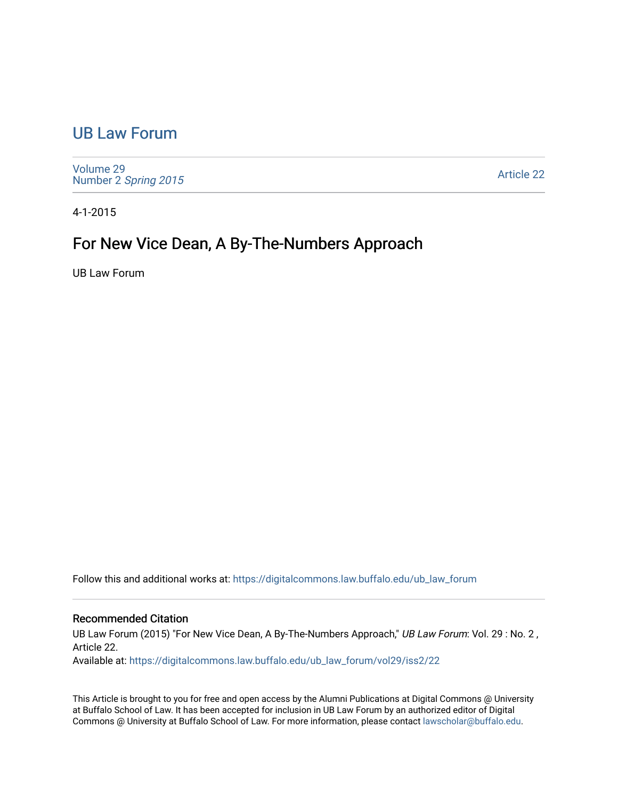## [UB Law Forum](https://digitalcommons.law.buffalo.edu/ub_law_forum)

[Volume 29](https://digitalcommons.law.buffalo.edu/ub_law_forum/vol29) Number 2 [Spring 2015](https://digitalcommons.law.buffalo.edu/ub_law_forum/vol29/iss2) 

[Article 22](https://digitalcommons.law.buffalo.edu/ub_law_forum/vol29/iss2/22) 

4-1-2015

## For New Vice Dean, A By-The-Numbers Approach

UB Law Forum

Follow this and additional works at: [https://digitalcommons.law.buffalo.edu/ub\\_law\\_forum](https://digitalcommons.law.buffalo.edu/ub_law_forum?utm_source=digitalcommons.law.buffalo.edu%2Fub_law_forum%2Fvol29%2Fiss2%2F22&utm_medium=PDF&utm_campaign=PDFCoverPages) 

## Recommended Citation

UB Law Forum (2015) "For New Vice Dean, A By-The-Numbers Approach," UB Law Forum: Vol. 29 : No. 2, Article 22.

Available at: [https://digitalcommons.law.buffalo.edu/ub\\_law\\_forum/vol29/iss2/22](https://digitalcommons.law.buffalo.edu/ub_law_forum/vol29/iss2/22?utm_source=digitalcommons.law.buffalo.edu%2Fub_law_forum%2Fvol29%2Fiss2%2F22&utm_medium=PDF&utm_campaign=PDFCoverPages) 

This Article is brought to you for free and open access by the Alumni Publications at Digital Commons @ University at Buffalo School of Law. It has been accepted for inclusion in UB Law Forum by an authorized editor of Digital Commons @ University at Buffalo School of Law. For more information, please contact [lawscholar@buffalo.edu](mailto:lawscholar@buffalo.edu).